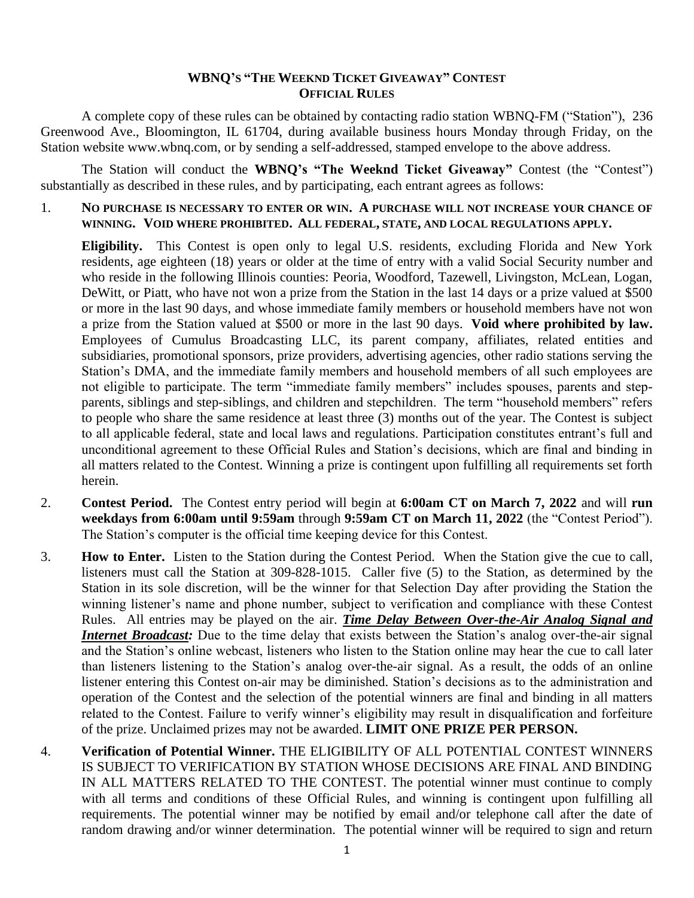## **WBNQ'S "THE WEEKND TICKET GIVEAWAY" CONTEST OFFICIAL RULES**

A complete copy of these rules can be obtained by contacting radio station WBNQ-FM ("Station"), 236 Greenwood Ave., Bloomington, IL 61704, during available business hours Monday through Friday, on the Station website www.wbnq.com, or by sending a self-addressed, stamped envelope to the above address.

The Station will conduct the **WBNQ's "The Weeknd Ticket Giveaway"** Contest (the "Contest") substantially as described in these rules, and by participating, each entrant agrees as follows:

1. **NO PURCHASE IS NECESSARY TO ENTER OR WIN. A PURCHASE WILL NOT INCREASE YOUR CHANCE OF WINNING. VOID WHERE PROHIBITED. ALL FEDERAL, STATE, AND LOCAL REGULATIONS APPLY.**

**Eligibility.** This Contest is open only to legal U.S. residents, excluding Florida and New York residents, age eighteen (18) years or older at the time of entry with a valid Social Security number and who reside in the following Illinois counties: Peoria, Woodford, Tazewell, Livingston, McLean, Logan, DeWitt, or Piatt, who have not won a prize from the Station in the last 14 days or a prize valued at \$500 or more in the last 90 days, and whose immediate family members or household members have not won a prize from the Station valued at \$500 or more in the last 90 days. **Void where prohibited by law.** Employees of Cumulus Broadcasting LLC, its parent company, affiliates, related entities and subsidiaries, promotional sponsors, prize providers, advertising agencies, other radio stations serving the Station's DMA, and the immediate family members and household members of all such employees are not eligible to participate. The term "immediate family members" includes spouses, parents and stepparents, siblings and step-siblings, and children and stepchildren. The term "household members" refers to people who share the same residence at least three (3) months out of the year. The Contest is subject to all applicable federal, state and local laws and regulations. Participation constitutes entrant's full and unconditional agreement to these Official Rules and Station's decisions, which are final and binding in all matters related to the Contest. Winning a prize is contingent upon fulfilling all requirements set forth herein.

- 2. **Contest Period.** The Contest entry period will begin at **6:00am CT on March 7, 2022** and will **run weekdays from 6:00am until 9:59am** through **9:59am CT on March 11, 2022** (the "Contest Period"). The Station's computer is the official time keeping device for this Contest.
- 3. **How to Enter.** Listen to the Station during the Contest Period. When the Station give the cue to call, listeners must call the Station at 309-828-1015. Caller five (5) to the Station, as determined by the Station in its sole discretion, will be the winner for that Selection Day after providing the Station the winning listener's name and phone number, subject to verification and compliance with these Contest Rules. All entries may be played on the air. *Time Delay Between Over-the-Air Analog Signal and Internet Broadcast:* Due to the time delay that exists between the Station's analog over-the-air signal and the Station's online webcast, listeners who listen to the Station online may hear the cue to call later than listeners listening to the Station's analog over-the-air signal. As a result, the odds of an online listener entering this Contest on-air may be diminished. Station's decisions as to the administration and operation of the Contest and the selection of the potential winners are final and binding in all matters related to the Contest. Failure to verify winner's eligibility may result in disqualification and forfeiture of the prize. Unclaimed prizes may not be awarded. **LIMIT ONE PRIZE PER PERSON.**
- 4. **Verification of Potential Winner.** THE ELIGIBILITY OF ALL POTENTIAL CONTEST WINNERS IS SUBJECT TO VERIFICATION BY STATION WHOSE DECISIONS ARE FINAL AND BINDING IN ALL MATTERS RELATED TO THE CONTEST. The potential winner must continue to comply with all terms and conditions of these Official Rules, and winning is contingent upon fulfilling all requirements. The potential winner may be notified by email and/or telephone call after the date of random drawing and/or winner determination. The potential winner will be required to sign and return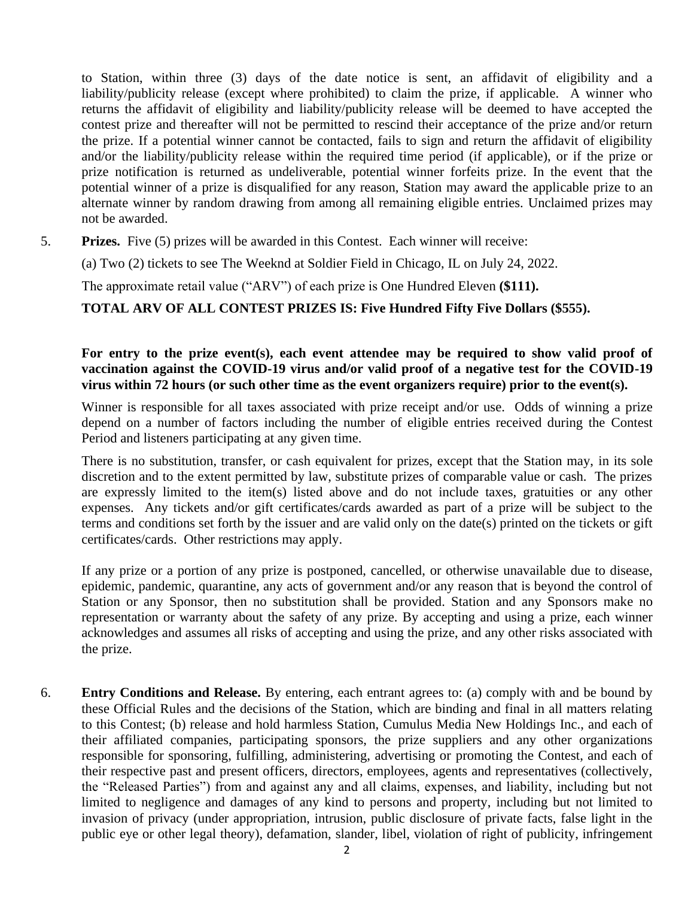to Station, within three (3) days of the date notice is sent, an affidavit of eligibility and a liability/publicity release (except where prohibited) to claim the prize, if applicable. A winner who returns the affidavit of eligibility and liability/publicity release will be deemed to have accepted the contest prize and thereafter will not be permitted to rescind their acceptance of the prize and/or return the prize. If a potential winner cannot be contacted, fails to sign and return the affidavit of eligibility and/or the liability/publicity release within the required time period (if applicable), or if the prize or prize notification is returned as undeliverable, potential winner forfeits prize. In the event that the potential winner of a prize is disqualified for any reason, Station may award the applicable prize to an alternate winner by random drawing from among all remaining eligible entries. Unclaimed prizes may not be awarded.

5. **Prizes.** Five (5) prizes will be awarded in this Contest. Each winner will receive:

(a) Two (2) tickets to see The Weeknd at Soldier Field in Chicago, IL on July 24, 2022.

The approximate retail value ("ARV") of each prize is One Hundred Eleven **(\$111).** 

**TOTAL ARV OF ALL CONTEST PRIZES IS: Five Hundred Fifty Five Dollars (\$555).**

## **For entry to the prize event(s), each event attendee may be required to show valid proof of vaccination against the COVID-19 virus and/or valid proof of a negative test for the COVID-19 virus within 72 hours (or such other time as the event organizers require) prior to the event(s).**

Winner is responsible for all taxes associated with prize receipt and/or use. Odds of winning a prize depend on a number of factors including the number of eligible entries received during the Contest Period and listeners participating at any given time.

There is no substitution, transfer, or cash equivalent for prizes, except that the Station may, in its sole discretion and to the extent permitted by law, substitute prizes of comparable value or cash. The prizes are expressly limited to the item(s) listed above and do not include taxes, gratuities or any other expenses. Any tickets and/or gift certificates/cards awarded as part of a prize will be subject to the terms and conditions set forth by the issuer and are valid only on the date(s) printed on the tickets or gift certificates/cards. Other restrictions may apply.

If any prize or a portion of any prize is postponed, cancelled, or otherwise unavailable due to disease, epidemic, pandemic, quarantine, any acts of government and/or any reason that is beyond the control of Station or any Sponsor, then no substitution shall be provided. Station and any Sponsors make no representation or warranty about the safety of any prize. By accepting and using a prize, each winner acknowledges and assumes all risks of accepting and using the prize, and any other risks associated with the prize.

6. **Entry Conditions and Release.** By entering, each entrant agrees to: (a) comply with and be bound by these Official Rules and the decisions of the Station, which are binding and final in all matters relating to this Contest; (b) release and hold harmless Station, Cumulus Media New Holdings Inc., and each of their affiliated companies, participating sponsors, the prize suppliers and any other organizations responsible for sponsoring, fulfilling, administering, advertising or promoting the Contest, and each of their respective past and present officers, directors, employees, agents and representatives (collectively, the "Released Parties") from and against any and all claims, expenses, and liability, including but not limited to negligence and damages of any kind to persons and property, including but not limited to invasion of privacy (under appropriation, intrusion, public disclosure of private facts, false light in the public eye or other legal theory), defamation, slander, libel, violation of right of publicity, infringement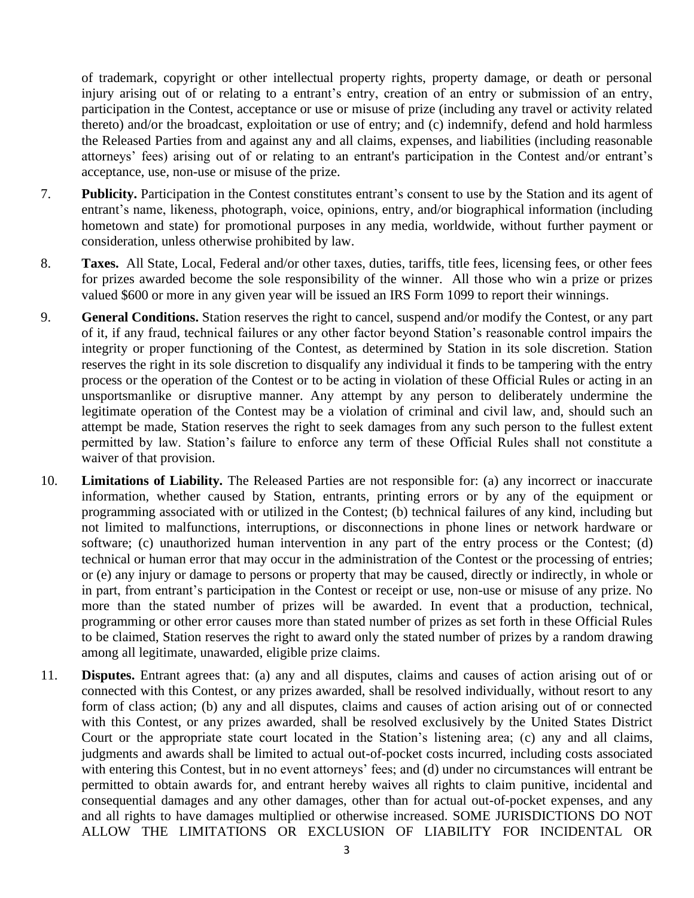of trademark, copyright or other intellectual property rights, property damage, or death or personal injury arising out of or relating to a entrant's entry, creation of an entry or submission of an entry, participation in the Contest, acceptance or use or misuse of prize (including any travel or activity related thereto) and/or the broadcast, exploitation or use of entry; and (c) indemnify, defend and hold harmless the Released Parties from and against any and all claims, expenses, and liabilities (including reasonable attorneys' fees) arising out of or relating to an entrant's participation in the Contest and/or entrant's acceptance, use, non-use or misuse of the prize.

- 7. **Publicity.** Participation in the Contest constitutes entrant's consent to use by the Station and its agent of entrant's name, likeness, photograph, voice, opinions, entry, and/or biographical information (including hometown and state) for promotional purposes in any media, worldwide, without further payment or consideration, unless otherwise prohibited by law.
- 8. **Taxes.** All State, Local, Federal and/or other taxes, duties, tariffs, title fees, licensing fees, or other fees for prizes awarded become the sole responsibility of the winner. All those who win a prize or prizes valued \$600 or more in any given year will be issued an IRS Form 1099 to report their winnings.
- 9. **General Conditions.** Station reserves the right to cancel, suspend and/or modify the Contest, or any part of it, if any fraud, technical failures or any other factor beyond Station's reasonable control impairs the integrity or proper functioning of the Contest, as determined by Station in its sole discretion. Station reserves the right in its sole discretion to disqualify any individual it finds to be tampering with the entry process or the operation of the Contest or to be acting in violation of these Official Rules or acting in an unsportsmanlike or disruptive manner. Any attempt by any person to deliberately undermine the legitimate operation of the Contest may be a violation of criminal and civil law, and, should such an attempt be made, Station reserves the right to seek damages from any such person to the fullest extent permitted by law. Station's failure to enforce any term of these Official Rules shall not constitute a waiver of that provision.
- 10. **Limitations of Liability.** The Released Parties are not responsible for: (a) any incorrect or inaccurate information, whether caused by Station, entrants, printing errors or by any of the equipment or programming associated with or utilized in the Contest; (b) technical failures of any kind, including but not limited to malfunctions, interruptions, or disconnections in phone lines or network hardware or software; (c) unauthorized human intervention in any part of the entry process or the Contest; (d) technical or human error that may occur in the administration of the Contest or the processing of entries; or (e) any injury or damage to persons or property that may be caused, directly or indirectly, in whole or in part, from entrant's participation in the Contest or receipt or use, non-use or misuse of any prize. No more than the stated number of prizes will be awarded. In event that a production, technical, programming or other error causes more than stated number of prizes as set forth in these Official Rules to be claimed, Station reserves the right to award only the stated number of prizes by a random drawing among all legitimate, unawarded, eligible prize claims.
- 11. **Disputes.** Entrant agrees that: (a) any and all disputes, claims and causes of action arising out of or connected with this Contest, or any prizes awarded, shall be resolved individually, without resort to any form of class action; (b) any and all disputes, claims and causes of action arising out of or connected with this Contest, or any prizes awarded, shall be resolved exclusively by the United States District Court or the appropriate state court located in the Station's listening area; (c) any and all claims, judgments and awards shall be limited to actual out-of-pocket costs incurred, including costs associated with entering this Contest, but in no event attorneys' fees; and (d) under no circumstances will entrant be permitted to obtain awards for, and entrant hereby waives all rights to claim punitive, incidental and consequential damages and any other damages, other than for actual out-of-pocket expenses, and any and all rights to have damages multiplied or otherwise increased. SOME JURISDICTIONS DO NOT ALLOW THE LIMITATIONS OR EXCLUSION OF LIABILITY FOR INCIDENTAL OR